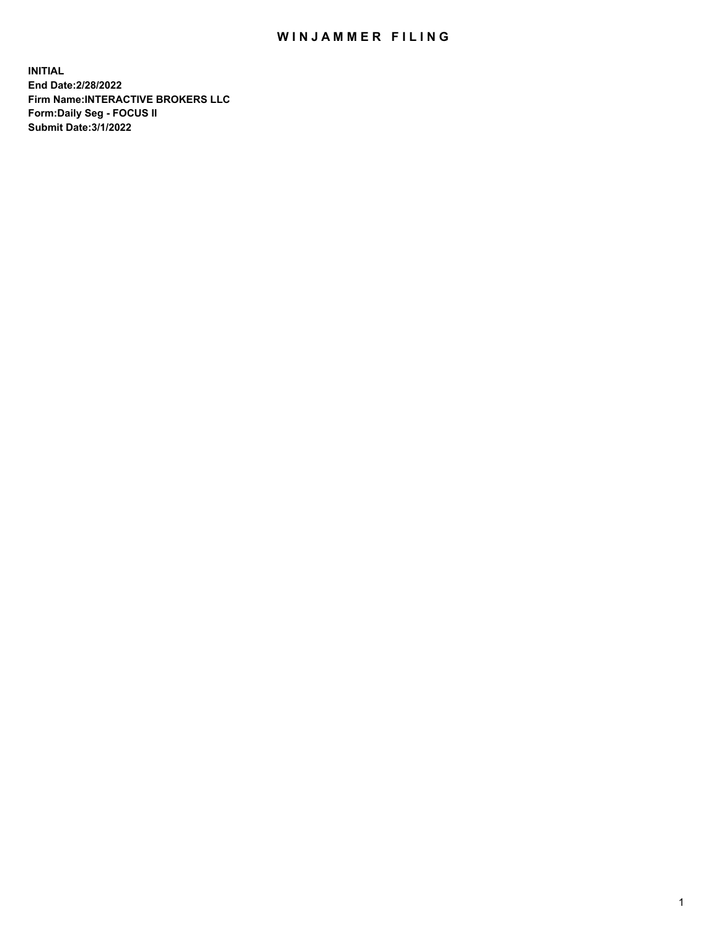## WIN JAMMER FILING

**INITIAL End Date:2/28/2022 Firm Name:INTERACTIVE BROKERS LLC Form:Daily Seg - FOCUS II Submit Date:3/1/2022**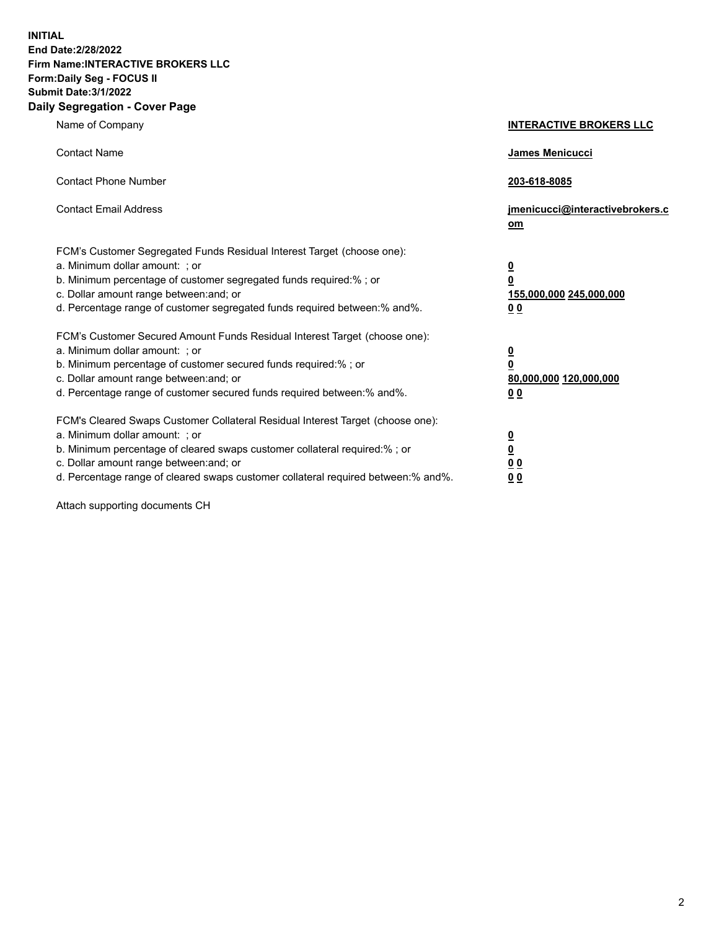**INITIAL End Date:2/28/2022 Firm Name:INTERACTIVE BROKERS LLC Form:Daily Seg - FOCUS II Submit Date:3/1/2022 Daily Segregation - Cover Page**

| Name of Company                                                                                                                                                                                                                                                                                                                | <b>INTERACTIVE BROKERS LLC</b>                                                                 |
|--------------------------------------------------------------------------------------------------------------------------------------------------------------------------------------------------------------------------------------------------------------------------------------------------------------------------------|------------------------------------------------------------------------------------------------|
| <b>Contact Name</b>                                                                                                                                                                                                                                                                                                            | James Menicucci                                                                                |
| <b>Contact Phone Number</b>                                                                                                                                                                                                                                                                                                    | 203-618-8085                                                                                   |
| <b>Contact Email Address</b>                                                                                                                                                                                                                                                                                                   | jmenicucci@interactivebrokers.c<br>om                                                          |
| FCM's Customer Segregated Funds Residual Interest Target (choose one):<br>a. Minimum dollar amount: ; or<br>b. Minimum percentage of customer segregated funds required:% ; or<br>c. Dollar amount range between: and; or<br>d. Percentage range of customer segregated funds required between:% and%.                         | $\overline{\mathbf{0}}$<br>$\overline{\mathbf{0}}$<br>155,000,000 245,000,000<br>00            |
| FCM's Customer Secured Amount Funds Residual Interest Target (choose one):<br>a. Minimum dollar amount: ; or<br>b. Minimum percentage of customer secured funds required:%; or<br>c. Dollar amount range between: and; or<br>d. Percentage range of customer secured funds required between:% and%.                            | $\overline{\mathbf{0}}$<br>$\overline{\mathbf{0}}$<br>80,000,000 120,000,000<br>0 <sub>0</sub> |
| FCM's Cleared Swaps Customer Collateral Residual Interest Target (choose one):<br>a. Minimum dollar amount: ; or<br>b. Minimum percentage of cleared swaps customer collateral required:% ; or<br>c. Dollar amount range between: and; or<br>d. Percentage range of cleared swaps customer collateral required between:% and%. | $\frac{0}{0}$<br>0 <sub>0</sub><br>0 <sub>0</sub>                                              |

Attach supporting documents CH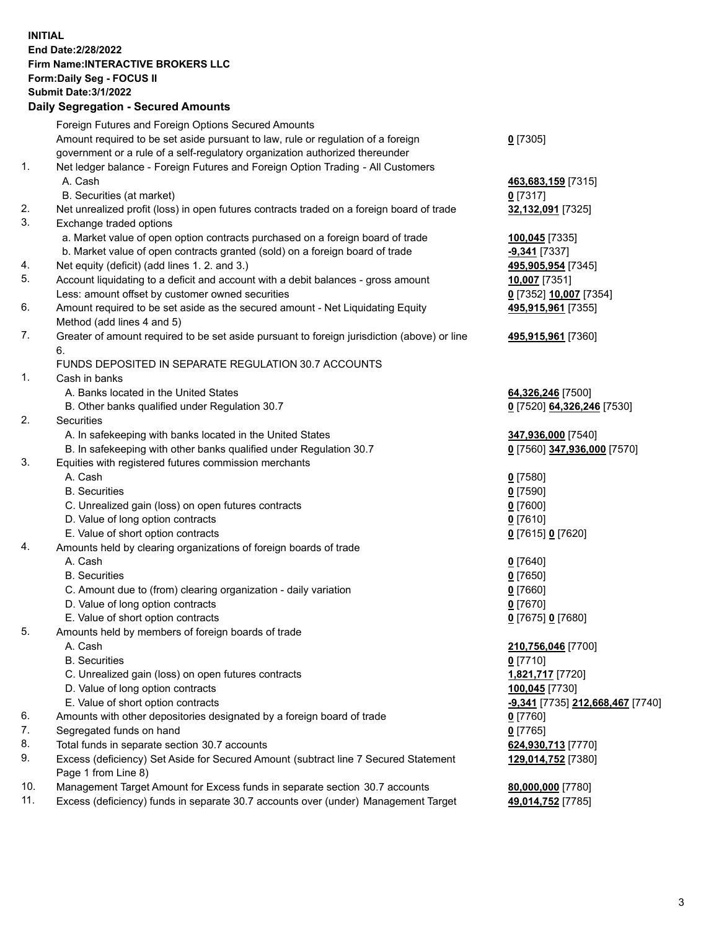**INITIAL End Date:2/28/2022 Firm Name:INTERACTIVE BROKERS LLC Form:Daily Seg - FOCUS II Submit Date:3/1/2022 Daily Segregation - Secured Amounts**

|     | Foreign Futures and Foreign Options Secured Amounts                                         |                                  |
|-----|---------------------------------------------------------------------------------------------|----------------------------------|
|     | Amount required to be set aside pursuant to law, rule or regulation of a foreign            | $0$ [7305]                       |
|     | government or a rule of a self-regulatory organization authorized thereunder                |                                  |
| 1.  | Net ledger balance - Foreign Futures and Foreign Option Trading - All Customers             |                                  |
|     | A. Cash                                                                                     | 463,683,159 [7315]               |
|     | B. Securities (at market)                                                                   | $0$ [7317]                       |
| 2.  | Net unrealized profit (loss) in open futures contracts traded on a foreign board of trade   | 32,132,091 [7325]                |
| 3.  | Exchange traded options                                                                     |                                  |
|     | a. Market value of open option contracts purchased on a foreign board of trade              | 100,045 [7335]                   |
|     | b. Market value of open contracts granted (sold) on a foreign board of trade                | -9,341 [7337]                    |
| 4.  | Net equity (deficit) (add lines 1. 2. and 3.)                                               | 495,905,954 [7345]               |
| 5.  | Account liquidating to a deficit and account with a debit balances - gross amount           | 10,007 [7351]                    |
|     | Less: amount offset by customer owned securities                                            | 0 [7352] 10,007 [7354]           |
| 6.  | Amount required to be set aside as the secured amount - Net Liquidating Equity              | 495,915,961 [7355]               |
|     | Method (add lines 4 and 5)                                                                  |                                  |
| 7.  | Greater of amount required to be set aside pursuant to foreign jurisdiction (above) or line | 495,915,961 [7360]               |
|     | 6.                                                                                          |                                  |
|     | FUNDS DEPOSITED IN SEPARATE REGULATION 30.7 ACCOUNTS                                        |                                  |
| 1.  | Cash in banks                                                                               |                                  |
|     | A. Banks located in the United States                                                       | 64,326,246 [7500]                |
|     | B. Other banks qualified under Regulation 30.7                                              | 0 [7520] 64,326,246 [7530]       |
| 2.  | <b>Securities</b>                                                                           |                                  |
|     | A. In safekeeping with banks located in the United States                                   | 347,936,000 [7540]               |
|     | B. In safekeeping with other banks qualified under Regulation 30.7                          | 0 [7560] 347,936,000 [7570]      |
| 3.  | Equities with registered futures commission merchants                                       |                                  |
|     | A. Cash                                                                                     | $0$ [7580]                       |
|     | <b>B.</b> Securities                                                                        | $0$ [7590]                       |
|     | C. Unrealized gain (loss) on open futures contracts                                         | $0$ [7600]                       |
|     | D. Value of long option contracts                                                           | $0$ [7610]                       |
|     | E. Value of short option contracts                                                          | 0 [7615] 0 [7620]                |
| 4.  | Amounts held by clearing organizations of foreign boards of trade                           |                                  |
|     | A. Cash                                                                                     | $Q$ [7640]                       |
|     | <b>B.</b> Securities                                                                        | $0$ [7650]                       |
|     | C. Amount due to (from) clearing organization - daily variation                             | $0$ [7660]                       |
|     | D. Value of long option contracts                                                           | $0$ [7670]                       |
|     | E. Value of short option contracts                                                          | 0 [7675] 0 [7680]                |
| 5.  | Amounts held by members of foreign boards of trade                                          |                                  |
|     | A. Cash                                                                                     | 210,756,046 [7700]               |
|     | <b>B.</b> Securities                                                                        | $0$ [7710]                       |
|     | C. Unrealized gain (loss) on open futures contracts                                         | 1,821,717 [7720]                 |
|     | D. Value of long option contracts                                                           | 100,045 [7730]                   |
|     | E. Value of short option contracts                                                          | -9,341 [7735] 212,668,467 [7740] |
| 6.  | Amounts with other depositories designated by a foreign board of trade                      | $0$ [7760]                       |
| 7.  | Segregated funds on hand                                                                    | $0$ [7765]                       |
| 8.  | Total funds in separate section 30.7 accounts                                               | 624,930,713 [7770]               |
| 9.  | Excess (deficiency) Set Aside for Secured Amount (subtract line 7 Secured Statement         | 129,014,752 [7380]               |
|     | Page 1 from Line 8)                                                                         |                                  |
| 10. | Management Target Amount for Excess funds in separate section 30.7 accounts                 | 80,000,000 [7780]                |
| 11. | Excess (deficiency) funds in separate 30.7 accounts over (under) Management Target          | 49,014,752 [7785]                |
|     |                                                                                             |                                  |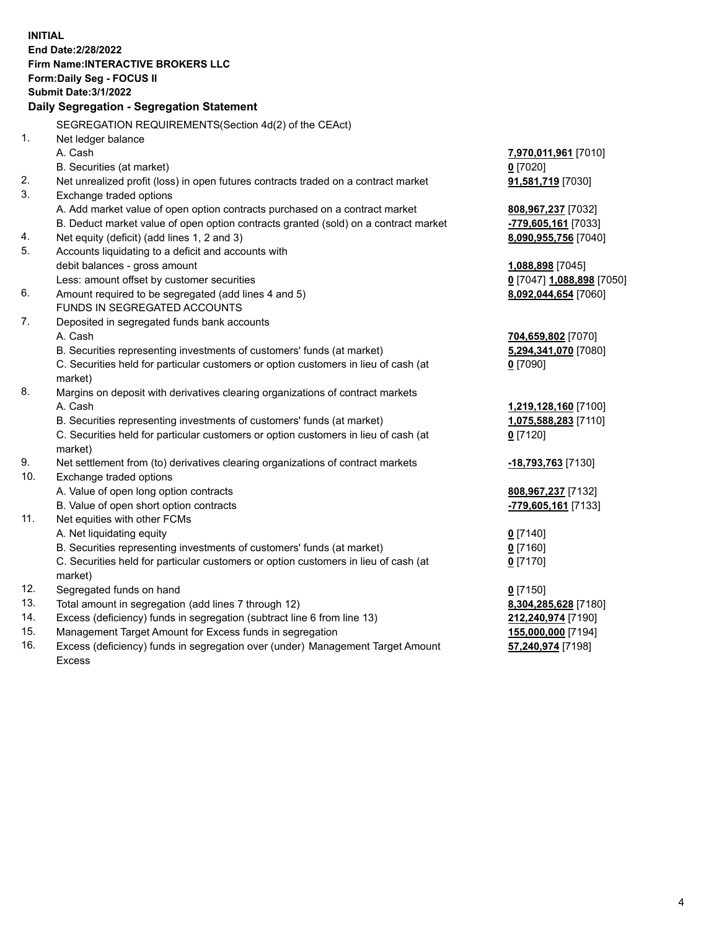**INITIAL End Date:2/28/2022 Firm Name:INTERACTIVE BROKERS LLC Form:Daily Seg - FOCUS II Submit Date:3/1/2022 Daily Segregation - Segregation Statement** SEGREGATION REQUIREMENTS(Section 4d(2) of the CEAct) 1. Net ledger balance A. Cash **7,970,011,961** [7010] B. Securities (at market) **0** [7020] 2. Net unrealized profit (loss) in open futures contracts traded on a contract market **91,581,719** [7030] 3. Exchange traded options A. Add market value of open option contracts purchased on a contract market **808,967,237** [7032] B. Deduct market value of open option contracts granted (sold) on a contract market **-779,605,161** [7033] 4. Net equity (deficit) (add lines 1, 2 and 3) **8,090,955,756** [7040] 5. Accounts liquidating to a deficit and accounts with debit balances - gross amount **1,088,898** [7045] Less: amount offset by customer securities **0** [7047] **1,088,898** [7050] 6. Amount required to be segregated (add lines 4 and 5) **8,092,044,654** [7060] FUNDS IN SEGREGATED ACCOUNTS 7. Deposited in segregated funds bank accounts A. Cash **704,659,802** [7070] B. Securities representing investments of customers' funds (at market) **5,294,341,070** [7080] C. Securities held for particular customers or option customers in lieu of cash (at market) **0** [7090] 8. Margins on deposit with derivatives clearing organizations of contract markets A. Cash **1,219,128,160** [7100] B. Securities representing investments of customers' funds (at market) **1,075,588,283** [7110] C. Securities held for particular customers or option customers in lieu of cash (at market) **0** [7120] 9. Net settlement from (to) derivatives clearing organizations of contract markets **-18,793,763** [7130] 10. Exchange traded options A. Value of open long option contracts **808,967,237** [7132] B. Value of open short option contracts **-779,605,161** [7133] 11. Net equities with other FCMs A. Net liquidating equity **0** [7140] B. Securities representing investments of customers' funds (at market) **0** [7160] C. Securities held for particular customers or option customers in lieu of cash (at market) **0** [7170] 12. Segregated funds on hand **0** [7150] 13. Total amount in segregation (add lines 7 through 12) **8,304,285,628** [7180] 14. Excess (deficiency) funds in segregation (subtract line 6 from line 13) **212,240,974** [7190] 15. Management Target Amount for Excess funds in segregation **155,000,000** [7194] 16. Excess (deficiency) funds in segregation over (under) Management Target Amount Excess **57,240,974** [7198]